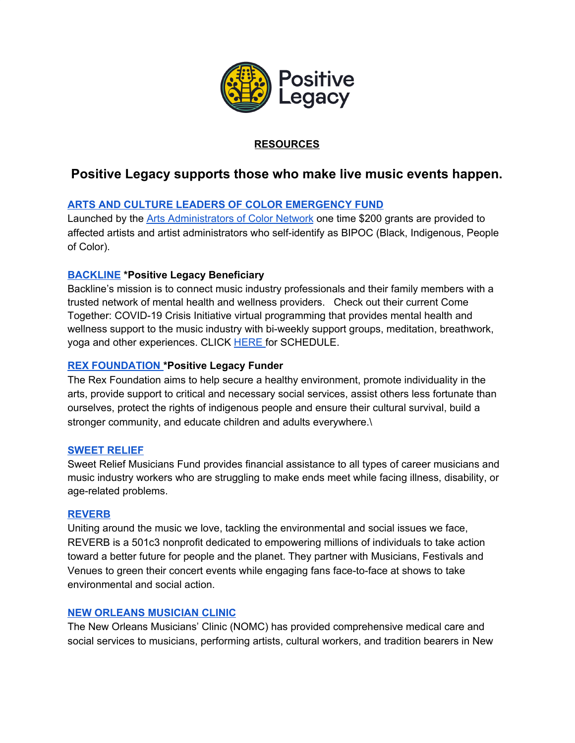

## **RESOURCES**

# **Positive Legacy supports those who make live music events happen.**

### **ARTS AND CULTURE LEADERS OF COLOR [EMERGENCY](https://docs.google.com/forms/d/e/1FAIpQLSfv4AazvLFVUNAgXoxqBqfZ7jJVkrMroa-CET6Vt6XygR-CaQ/formResponse) FUND**

Launched by the Arts [Administrators](https://aacnetwork.org/) of Color Network one time \$200 grants are provided to affected artists and artist administrators who self-identify as BIPOC (Black, Indigenous, People of Color).

#### **[BACKLINE](http://www.backline.care/) \*Positive Legacy Beneficiary**

Backline's mission is to connect music industry professionals and their family members with a trusted network of mental health and wellness providers. Check out their current Come Together: COVID-19 Crisis Initiative virtual programming that provides mental health and wellness support to the music industry with bi-weekly support groups, meditation, breathwork, yoga and other experiences. CLICK **[HERE](https://backline.care/come-together/)** for SCHEDULE.

#### **REX [FOUNDATION](https://www.rexfoundation.org/about/) \*Positive Legacy Funder**

The Rex Foundation aims to help secure a healthy environment, promote individuality in the arts, provide support to critical and necessary social services, assist others less fortunate than ourselves, protect the rights of indigenous people and ensure their cultural survival, build a stronger community, and educate children and adults everywhere.\

#### **[SWEET](http://www.sweetrelief.org/) RELIEF**

Sweet Relief Musicians Fund provides financial assistance to all types of career musicians and music industry workers who are struggling to make ends meet while facing illness, disability, or age-related problems.

#### **[REVERB](https://reverb.org/)**

Uniting around the music we love, tackling the environmental and social issues we face, REVERB is a 501c3 nonprofit dedicated to empowering millions of individuals to take action toward a better future for people and the planet. They partner with [Musicians](https://reverb.org/work/tours-artists/), [Festivals](https://reverb.org/work/festivals/) and [Venues](https://reverb.org/work/venues/) to green their concert events while engaging fans face-to-face at shows to take environmental and social action.

#### **NEW ORLEANS [MUSICIAN](https://neworleansmusiciansclinic.org/) CLINIC**

The New Orleans Musicians' Clinic (NOMC) has provided comprehensive medical care and social services to musicians, performing artists, cultural workers, and tradition bearers in New